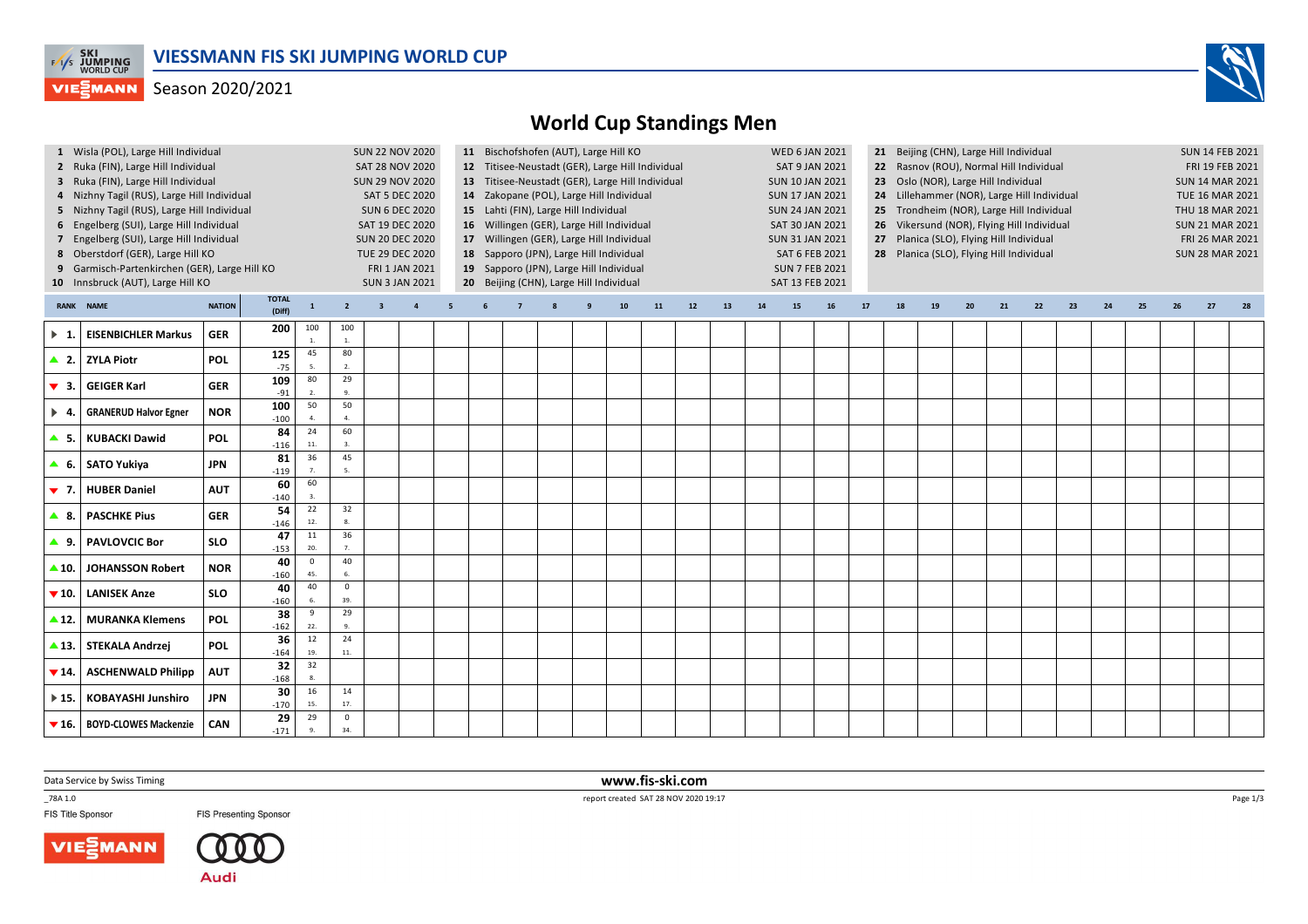

### Season 2020/2021



# **World Cup Standings Men**

|                          | 1 Wisla (POL), Large Hill Individual<br>2 Ruka (FIN), Large Hill Individual<br>3 Ruka (FIN), Large Hill Individual                                                  | <b>SUN 22 NOV 2020</b><br><b>SAT 28 NOV 2020</b><br><b>SUN 29 NOV 2020</b>                              |                           |                                                |                          | 11 Bischofshofen (AUT), Large Hill KO<br>12 Titisee-Neustadt (GER), Large Hill Individual<br>13 Titisee-Neustadt (GER), Large Hill Individual                                                                                                                                                      |                |    |  |  |  |  |    |    |                                                                                      | <b>WED 6 JAN 2021</b><br><b>SAT 9 JAN 2021</b><br><b>SUN 10 JAN 2021</b> |                                           | 21 Beijing (CHN), Large Hill Individual<br>22 Rasnov (ROU), Normal Hill Individual<br>23 Oslo (NOR), Large Hill Individual |    |                                                              | <b>SUN 14 FEB 2021</b><br>FRI 19 FEB 2021<br><b>SUN 14 MAR 2021</b> |    |    |    |    |    |    |    |    |    |  |
|--------------------------|---------------------------------------------------------------------------------------------------------------------------------------------------------------------|---------------------------------------------------------------------------------------------------------|---------------------------|------------------------------------------------|--------------------------|----------------------------------------------------------------------------------------------------------------------------------------------------------------------------------------------------------------------------------------------------------------------------------------------------|----------------|----|--|--|--|--|----|----|--------------------------------------------------------------------------------------|--------------------------------------------------------------------------|-------------------------------------------|----------------------------------------------------------------------------------------------------------------------------|----|--------------------------------------------------------------|---------------------------------------------------------------------|----|----|----|----|----|----|----|----|----|--|
|                          | 4 Nizhny Tagil (RUS), Large Hill Individual<br>5 Nizhny Tagil (RUS), Large Hill Individual<br>6 Engelberg (SUI), Large Hill Individual                              |                                                                                                         |                           | <b>SAT 5 DEC 2020</b><br><b>SUN 6 DEC 2020</b> |                          | 14 Zakopane (POL), Large Hill Individual<br>24 Lillehammer (NOR), Large Hill Individual<br><b>SUN 17 JAN 2021</b><br>15 Lahti (FIN), Large Hill Individual<br><b>SUN 24 JAN 2021</b><br>16 Willingen (GER), Large Hill Individual<br>SAT 30 JAN 2021<br>26 Vikersund (NOR), Flying Hill Individual |                |    |  |  |  |  |    |    |                                                                                      |                                                                          | 25 Trondheim (NOR), Large Hill Individual |                                                                                                                            |    | TUE 16 MAR 2021<br>THU 18 MAR 2021<br><b>SUN 21 MAR 2021</b> |                                                                     |    |    |    |    |    |    |    |    |    |  |
|                          | 7 Engelberg (SUI), Large Hill Individual<br>8 Oberstdorf (GER), Large Hill KO<br>9 Garmisch-Partenkirchen (GER), Large Hill KO<br>10 Innsbruck (AUT), Large Hill KO | SAT 19 DEC 2020<br><b>SUN 20 DEC 2020</b><br>TUE 29 DEC 2020<br>FRI 1 JAN 2021<br><b>SUN 3 JAN 2021</b> |                           |                                                |                          | 17 Willingen (GER), Large Hill Individual<br>18 Sapporo (JPN), Large Hill Individual<br>19 Sapporo (JPN), Large Hill Individual<br>20 Beijing (CHN), Large Hill Individual                                                                                                                         |                |    |  |  |  |  |    |    | <b>SUN 31 JAN 2021</b><br>SAT 6 FEB 2021<br><b>SUN 7 FEB 2021</b><br>SAT 13 FEB 2021 |                                                                          |                                           | 27 Planica (SLO), Flying Hill Individual<br>28 Planica (SLO), Flying Hill Individual                                       |    |                                                              | FRI 26 MAR 2021<br><b>SUN 28 MAR 2021</b>                           |    |    |    |    |    |    |    |    |    |  |
|                          | <b>RANK NAME</b>                                                                                                                                                    | <b>NATION</b>                                                                                           | <b>TOTAL</b><br>(Diff)    | $\mathbf{1}$                                   | $\overline{2}$           | $\overline{\mathbf{3}}$                                                                                                                                                                                                                                                                            | $\overline{4}$ | -5 |  |  |  |  | 10 | 11 | 12                                                                                   | 13                                                                       | 14                                        | 15                                                                                                                         | 16 | 17                                                           | 18                                                                  | 19 | 20 | 21 | 22 | 23 | 24 | 25 | 26 | 27 |  |
| $\blacktriangleright$ 1. | <b>EISENBICHLER Markus</b>                                                                                                                                          | <b>GER</b>                                                                                              | 200                       | 100<br>$\mathbf{1}$ .                          | 100<br>$\overline{1}$    |                                                                                                                                                                                                                                                                                                    |                |    |  |  |  |  |    |    |                                                                                      |                                                                          |                                           |                                                                                                                            |    |                                                              |                                                                     |    |    |    |    |    |    |    |    |    |  |
|                          | ▲ 2. ZYLA Piotr                                                                                                                                                     | <b>POL</b>                                                                                              | 125<br>$-75$              | 45<br>5                                        | 80<br>$\overline{2}$ .   |                                                                                                                                                                                                                                                                                                    |                |    |  |  |  |  |    |    |                                                                                      |                                                                          |                                           |                                                                                                                            |    |                                                              |                                                                     |    |    |    |    |    |    |    |    |    |  |
| $\blacktriangledown$ 3.  | <b>GEIGER Karl</b>                                                                                                                                                  | <b>GER</b>                                                                                              | 109<br>$-91$<br>100       | 80<br>$\overline{2}$<br>50                     | 29<br>$\mathbf{q}$<br>50 |                                                                                                                                                                                                                                                                                                    |                |    |  |  |  |  |    |    |                                                                                      |                                                                          |                                           |                                                                                                                            |    |                                                              |                                                                     |    |    |    |    |    |    |    |    |    |  |
| $\blacktriangleright$ 4. | <b>GRANERUD Halvor Egner</b>                                                                                                                                        | <b>NOR</b>                                                                                              | $-100$<br>84              | $\overline{a}$<br>24                           | $\overline{a}$<br>60     |                                                                                                                                                                                                                                                                                                    |                |    |  |  |  |  |    |    |                                                                                      |                                                                          |                                           |                                                                                                                            |    |                                                              |                                                                     |    |    |    |    |    |    |    |    |    |  |
| <b>▲</b> 5.<br>▲ 6.      | <b>KUBACKI Dawid</b><br>SATO Yukiya                                                                                                                                 | <b>POL</b><br><b>JPN</b>                                                                                | $-116$<br>81              | 11.<br>36                                      | 45                       |                                                                                                                                                                                                                                                                                                    |                |    |  |  |  |  |    |    |                                                                                      |                                                                          |                                           |                                                                                                                            |    |                                                              |                                                                     |    |    |    |    |    |    |    |    |    |  |
| $\blacktriangledown$ 7.  | <b>HUBER Daniel</b>                                                                                                                                                 | <b>AUT</b>                                                                                              | $-119$<br>60              | 60                                             |                          |                                                                                                                                                                                                                                                                                                    |                |    |  |  |  |  |    |    |                                                                                      |                                                                          |                                           |                                                                                                                            |    |                                                              |                                                                     |    |    |    |    |    |    |    |    |    |  |
| ▲ 8.                     | <b>PASCHKE Pius</b>                                                                                                                                                 | <b>GER</b>                                                                                              | $-140$<br>54<br>$-146$    | $\overline{3}$ .<br>22<br>12.                  | 32<br>$\mathbf{g}$       |                                                                                                                                                                                                                                                                                                    |                |    |  |  |  |  |    |    |                                                                                      |                                                                          |                                           |                                                                                                                            |    |                                                              |                                                                     |    |    |    |    |    |    |    |    |    |  |
| ▲ 9.                     | <b>PAVLOVCIC Bor</b>                                                                                                                                                | <b>SLO</b>                                                                                              | 47<br>$-153$              | 11<br>20.                                      | 36<br>7.                 |                                                                                                                                                                                                                                                                                                    |                |    |  |  |  |  |    |    |                                                                                      |                                                                          |                                           |                                                                                                                            |    |                                                              |                                                                     |    |    |    |    |    |    |    |    |    |  |
| ▲ 10.                    | <b>JOHANSSON Robert</b>                                                                                                                                             | <b>NOR</b>                                                                                              | 40<br>$-160$              | $\mathbf 0$<br>45.                             | 40<br>6.                 |                                                                                                                                                                                                                                                                                                    |                |    |  |  |  |  |    |    |                                                                                      |                                                                          |                                           |                                                                                                                            |    |                                                              |                                                                     |    |    |    |    |    |    |    |    |    |  |
| $\blacktriangledown$ 10. | <b>LANISEK Anze</b>                                                                                                                                                 | <b>SLO</b>                                                                                              | 40<br>$-160$              | 40                                             | $\mathsf 0$<br>39.       |                                                                                                                                                                                                                                                                                                    |                |    |  |  |  |  |    |    |                                                                                      |                                                                          |                                           |                                                                                                                            |    |                                                              |                                                                     |    |    |    |    |    |    |    |    |    |  |
| $\triangle$ 12.          | <b>MURANKA Klemens</b>                                                                                                                                              | POL                                                                                                     | 38<br>$-162$<br>36        | 9<br>22.<br>12                                 | 29<br>24                 |                                                                                                                                                                                                                                                                                                    |                |    |  |  |  |  |    |    |                                                                                      |                                                                          |                                           |                                                                                                                            |    |                                                              |                                                                     |    |    |    |    |    |    |    |    |    |  |
|                          | ▲ 13.   STEKALA Andrzej                                                                                                                                             | <b>POL</b>                                                                                              | $-164$<br>$\overline{32}$ | 19.<br>32                                      | 11.                      |                                                                                                                                                                                                                                                                                                    |                |    |  |  |  |  |    |    |                                                                                      |                                                                          |                                           |                                                                                                                            |    |                                                              |                                                                     |    |    |    |    |    |    |    |    |    |  |
| $\blacktriangledown$ 14. | <b>ASCHENWALD Philipp</b>                                                                                                                                           | <b>AUT</b>                                                                                              | $-168$<br>30              | 8.<br>16                                       | 14                       |                                                                                                                                                                                                                                                                                                    |                |    |  |  |  |  |    |    |                                                                                      |                                                                          |                                           |                                                                                                                            |    |                                                              |                                                                     |    |    |    |    |    |    |    |    |    |  |
| $\triangleright$ 15.     | <b>KOBAYASHI Junshiro</b>                                                                                                                                           | JPN                                                                                                     | $-170$<br>29              | 15.<br>29                                      | 17.<br>$\mathsf 0$       |                                                                                                                                                                                                                                                                                                    |                |    |  |  |  |  |    |    |                                                                                      |                                                                          |                                           |                                                                                                                            |    |                                                              |                                                                     |    |    |    |    |    |    |    |    |    |  |
| $\blacktriangledown$ 16. | <b>BOYD-CLOWES Mackenzie</b>                                                                                                                                        | <b>CAN</b>                                                                                              | $-171$                    | 9.                                             | 34.                      |                                                                                                                                                                                                                                                                                                    |                |    |  |  |  |  |    |    |                                                                                      |                                                                          |                                           |                                                                                                                            |    |                                                              |                                                                     |    |    |    |    |    |    |    |    |    |  |

Data Service by Swiss Timing

\_78A 1.0

FIS Title Sponsor

**FIS Presenting Sponsor** 



 **www.fis-ski.com**report created SAT 28 NOV 2020 19:17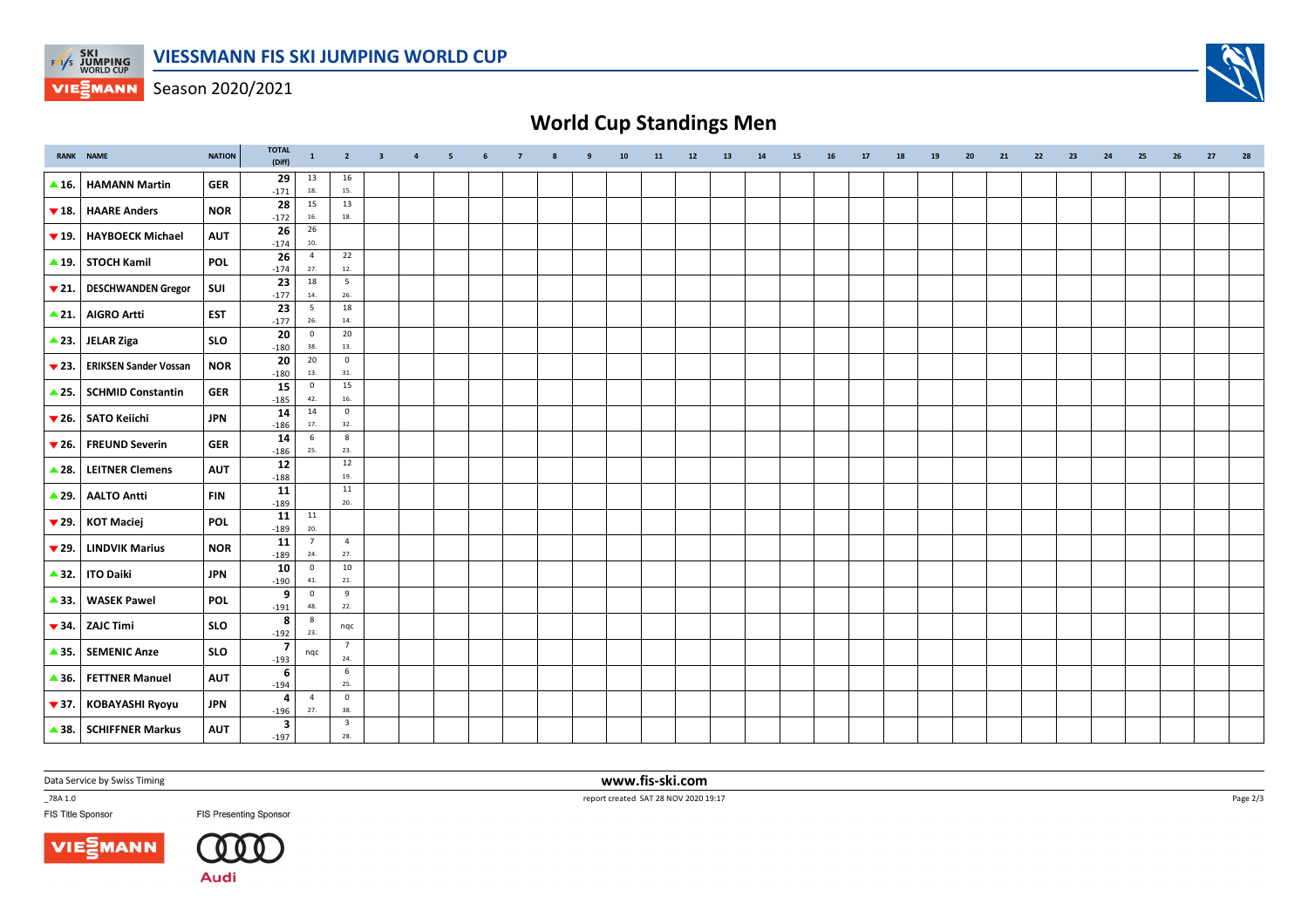

Season 2020/2021

# **World Cup Standings Men**

|                          | <b>RANK NAME</b>             | <b>NATION</b> | <b>TOTAL</b><br>(Diff)            | $\mathbf{1}$           | $\overline{2}$                 | $\overline{\mathbf{3}}$ | $\overline{4}$ | 5 | 6 | $\overline{7}$ | 9 | 10 | 11 | 12 | 13 | 14 | 15 | 16 | 17 | 18 | 19 | 20 | 21 | 22 | 23 | 24 | 25 | 26 | 27 | 28 |
|--------------------------|------------------------------|---------------|-----------------------------------|------------------------|--------------------------------|-------------------------|----------------|---|---|----------------|---|----|----|----|----|----|----|----|----|----|----|----|----|----|----|----|----|----|----|----|
| $\triangle$ 16.          | <b>HAMANN Martin</b>         | <b>GER</b>    | 29<br>$-171$                      | 13<br>18.              | 16<br>15.                      |                         |                |   |   |                |   |    |    |    |    |    |    |    |    |    |    |    |    |    |    |    |    |    |    |    |
| $\blacktriangledown$ 18. | <b>HAARE Anders</b>          | <b>NOR</b>    | 28<br>$-172$                      | 15<br>$16.$            | 13<br>$18. \,$                 |                         |                |   |   |                |   |    |    |    |    |    |    |    |    |    |    |    |    |    |    |    |    |    |    |    |
| $\blacktriangledown$ 19. | <b>HAYBOECK Michael</b>      | <b>AUT</b>    | 26<br>$-174$                      | 26<br>$10.$            |                                |                         |                |   |   |                |   |    |    |    |    |    |    |    |    |    |    |    |    |    |    |    |    |    |    |    |
|                          | $\triangle$ 19. STOCH Kamil  | <b>POL</b>    | $\overline{26}$<br>$-174$         | $\overline{4}$<br>27.  | 22<br>12.                      |                         |                |   |   |                |   |    |    |    |    |    |    |    |    |    |    |    |    |    |    |    |    |    |    |    |
| $\blacktriangledown$ 21. | <b>DESCHWANDEN Gregor</b>    | SUI           | 23                                | 18                     | 5<br>26.                       |                         |                |   |   |                |   |    |    |    |    |    |    |    |    |    |    |    |    |    |    |    |    |    |    |    |
| $\triangle$ 21.          | <b>AIGRO Artti</b>           | <b>EST</b>    | $-177$<br>$\overline{23}$         | 14.<br>$5\overline{5}$ | 18                             |                         |                |   |   |                |   |    |    |    |    |    |    |    |    |    |    |    |    |    |    |    |    |    |    |    |
| $\triangle$ 23.          | <b>JELAR Ziga</b>            | <b>SLO</b>    | $-177$<br>20                      | 26.<br>$\mathbf 0$     | 14.<br>20                      |                         |                |   |   |                |   |    |    |    |    |    |    |    |    |    |    |    |    |    |    |    |    |    |    |    |
| $\blacktriangledown$ 23. | <b>ERIKSEN Sander Vossan</b> | <b>NOR</b>    | $-180$<br>20                      | 38.<br>20              | 13.<br>$\mathbf 0$             |                         |                |   |   |                |   |    |    |    |    |    |    |    |    |    |    |    |    |    |    |    |    |    |    |    |
| $\triangle$ 25.          | <b>SCHMID Constantin</b>     | <b>GER</b>    | $-180$<br>15                      | 13.<br>$\overline{0}$  | 31.<br>15                      |                         |                |   |   |                |   |    |    |    |    |    |    |    |    |    |    |    |    |    |    |    |    |    |    |    |
|                          | ▼ 26. SATO Keiichi           |               | $-185$<br>14                      | 42.<br>14              | 16.<br>$\mathbf{0}$            |                         |                |   |   |                |   |    |    |    |    |    |    |    |    |    |    |    |    |    |    |    |    |    |    |    |
|                          |                              | <b>JPN</b>    | $-186$<br>14                      | 17.<br>6               | 32.<br>$\boldsymbol{8}$        |                         |                |   |   |                |   |    |    |    |    |    |    |    |    |    |    |    |    |    |    |    |    |    |    |    |
| $\blacktriangledown$ 26. | <b>FREUND Severin</b>        | <b>GER</b>    | $-186$<br>$12\,$                  | 25.                    | 23.<br>12                      |                         |                |   |   |                |   |    |    |    |    |    |    |    |    |    |    |    |    |    |    |    |    |    |    |    |
| $\triangle$ 28.          | <b>LEITNER Clemens</b>       | <b>AUT</b>    | $-188$<br>11                      |                        | 19.<br>11                      |                         |                |   |   |                |   |    |    |    |    |    |    |    |    |    |    |    |    |    |    |    |    |    |    |    |
| $\triangle$ 29.          | <b>AALTO Antti</b>           | <b>FIN</b>    | $-189$                            | $11\,$                 | 20.                            |                         |                |   |   |                |   |    |    |    |    |    |    |    |    |    |    |    |    |    |    |    |    |    |    |    |
| $\blacktriangledown$ 29. | <b>KOT Maciej</b>            | <b>POL</b>    | 11<br>$-189$                      | 20.                    |                                |                         |                |   |   |                |   |    |    |    |    |    |    |    |    |    |    |    |    |    |    |    |    |    |    |    |
| $\blacktriangledown$ 29. | <b>LINDVIK Marius</b>        | <b>NOR</b>    | 11<br>$-189$                      | $7\overline{ }$<br>24. | $\overline{4}$<br>27.          |                         |                |   |   |                |   |    |    |    |    |    |    |    |    |    |    |    |    |    |    |    |    |    |    |    |
| $\triangle$ 32.          | <b>ITO Daiki</b>             | <b>JPN</b>    | 10<br>$-190$                      | $\overline{0}$<br>41.  | 10<br>21.                      |                         |                |   |   |                |   |    |    |    |    |    |    |    |    |    |    |    |    |    |    |    |    |    |    |    |
| $\triangle$ 33.          | <b>WASEK Pawel</b>           | POL           | 9<br>$-191$                       | $\overline{0}$<br>48.  | 9<br>22.                       |                         |                |   |   |                |   |    |    |    |    |    |    |    |    |    |    |    |    |    |    |    |    |    |    |    |
| $\blacktriangledown$ 34. | <b>ZAJC Timi</b>             | <b>SLO</b>    | 8<br>$-192$                       | 8<br>23.               | nqc                            |                         |                |   |   |                |   |    |    |    |    |    |    |    |    |    |    |    |    |    |    |    |    |    |    |    |
| $\triangle$ 35.          | <b>SEMENIC Anze</b>          | <b>SLO</b>    | $\overline{7}$<br>$-193$          | nqc                    | $\overline{7}$<br>24.          |                         |                |   |   |                |   |    |    |    |    |    |    |    |    |    |    |    |    |    |    |    |    |    |    |    |
| $\triangle$ 36.          | <b>FETTNER Manuel</b>        | <b>AUT</b>    | 6<br>$-194$                       |                        | 6<br>25.                       |                         |                |   |   |                |   |    |    |    |    |    |    |    |    |    |    |    |    |    |    |    |    |    |    |    |
| $\blacktriangledown$ 37. | <b>KOBAYASHI Ryoyu</b>       | <b>JPN</b>    | 4<br>$-196$                       | $\overline{4}$<br>27.  | $\mathbf 0$<br>38.             |                         |                |   |   |                |   |    |    |    |    |    |    |    |    |    |    |    |    |    |    |    |    |    |    |    |
|                          | ▲ 38. SCHIFFNER Markus       | <b>AUT</b>    | $\overline{\mathbf{3}}$<br>$-197$ |                        | $\overline{\mathbf{3}}$<br>28. |                         |                |   |   |                |   |    |    |    |    |    |    |    |    |    |    |    |    |    |    |    |    |    |    |    |

Data Service by Swiss Timing

\_78A 1.0

FIS Title Sponsor





 **www.fis-ski.com**report created SAT 28 NOV 2020 19:17

Page 2/3